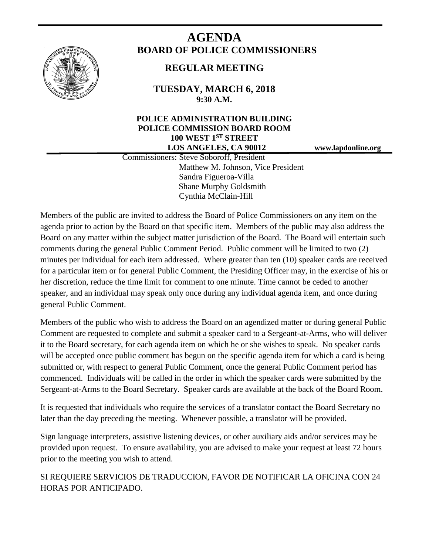

# **AGENDA BOARD OF POLICE COMMISSIONERS**

# **REGULAR MEETING**

**TUESDAY, MARCH 6, 2018 9:30 A.M.**

# **POLICE ADMINISTRATION BUILDING POLICE COMMISSION BOARD ROOM 100 WEST 1ST STREET LOS ANGELES, CA 90012 www.lapdonline.org**

 Commissioners: Steve Soboroff, President Matthew M. Johnson, Vice President Sandra Figueroa-Villa Shane Murphy Goldsmith Cynthia McClain-Hill

Members of the public are invited to address the Board of Police Commissioners on any item on the agenda prior to action by the Board on that specific item. Members of the public may also address the Board on any matter within the subject matter jurisdiction of the Board. The Board will entertain such comments during the general Public Comment Period. Public comment will be limited to two (2) minutes per individual for each item addressed. Where greater than ten (10) speaker cards are received for a particular item or for general Public Comment, the Presiding Officer may, in the exercise of his or her discretion, reduce the time limit for comment to one minute. Time cannot be ceded to another speaker, and an individual may speak only once during any individual agenda item, and once during general Public Comment.

Members of the public who wish to address the Board on an agendized matter or during general Public Comment are requested to complete and submit a speaker card to a Sergeant-at-Arms, who will deliver it to the Board secretary, for each agenda item on which he or she wishes to speak. No speaker cards will be accepted once public comment has begun on the specific agenda item for which a card is being submitted or, with respect to general Public Comment, once the general Public Comment period has commenced. Individuals will be called in the order in which the speaker cards were submitted by the Sergeant-at-Arms to the Board Secretary. Speaker cards are available at the back of the Board Room.

It is requested that individuals who require the services of a translator contact the Board Secretary no later than the day preceding the meeting. Whenever possible, a translator will be provided.

Sign language interpreters, assistive listening devices, or other auxiliary aids and/or services may be provided upon request. To ensure availability, you are advised to make your request at least 72 hours prior to the meeting you wish to attend.

SI REQUIERE SERVICIOS DE TRADUCCION, FAVOR DE NOTIFICAR LA OFICINA CON 24 HORAS POR ANTICIPADO.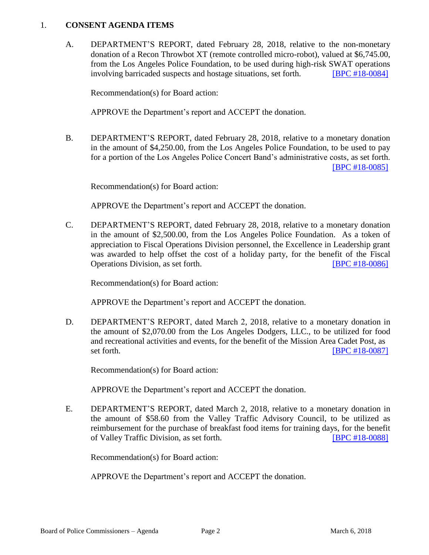#### 1. **CONSENT AGENDA ITEMS**

A. DEPARTMENT'S REPORT, dated February 28, 2018, relative to the non-monetary donation of a Recon Throwbot XT (remote controlled micro-robot), valued at \$6,745.00, from the Los Angeles Police Foundation, to be used during high-risk SWAT operations involving barricaded suspects and hostage situations, set forth. **IBPC #18-0084** 

Recommendation(s) for Board action:

APPROVE the Department's report and ACCEPT the donation.

B. DEPARTMENT'S REPORT, dated February 28, 2018, relative to a monetary donation in the amount of \$4,250.00, from the Los Angeles Police Foundation, to be used to pay for a portion of the Los Angeles Police Concert Band's administrative costs, as set forth. [\[BPC #18-0085\]](http://www.lapdpolicecom.lacity.org/030618/BPC_18-0085.pdf)

Recommendation(s) for Board action:

APPROVE the Department's report and ACCEPT the donation.

C. DEPARTMENT'S REPORT, dated February 28, 2018, relative to a monetary donation in the amount of \$2,500.00, from the Los Angeles Police Foundation. As a token of appreciation to Fiscal Operations Division personnel, the Excellence in Leadership grant was awarded to help offset the cost of a holiday party, for the benefit of the Fiscal Operations Division, as set forth. [\[BPC #18-0086\]](http://www.lapdpolicecom.lacity.org/030618/BPC_18-0086.pdf)

Recommendation(s) for Board action:

APPROVE the Department's report and ACCEPT the donation.

D. DEPARTMENT'S REPORT, dated March 2, 2018, relative to a monetary donation in the amount of \$2,070.00 from the Los Angeles Dodgers, LLC., to be utilized for food and recreational activities and events, for the benefit of the Mission Area Cadet Post, as set forth. **IBPC #18-0087** 

Recommendation(s) for Board action:

APPROVE the Department's report and ACCEPT the donation.

E. DEPARTMENT'S REPORT, dated March 2, 2018, relative to a monetary donation in the amount of \$58.60 from the Valley Traffic Advisory Council, to be utilized as reimbursement for the purchase of breakfast food items for training days, for the benefit of Valley Traffic Division, as set forth. [\[BPC #18-0088\]](http://www.lapdpolicecom.lacity.org/030618/BPC_18-0088.pdf)

Recommendation(s) for Board action:

APPROVE the Department's report and ACCEPT the donation.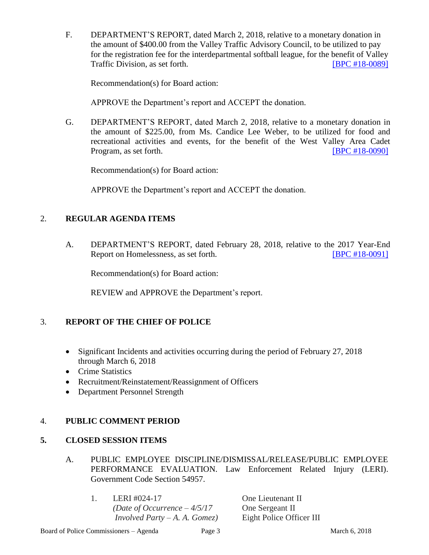F. DEPARTMENT'S REPORT, dated March 2, 2018, relative to a monetary donation in the amount of \$400.00 from the Valley Traffic Advisory Council, to be utilized to pay for the registration fee for the interdepartmental softball league, for the benefit of Valley Traffic Division, as set forth. [\[BPC #18-0089\]](http://www.lapdpolicecom.lacity.org/030618/BPC_18-0089.pdf)

Recommendation(s) for Board action:

APPROVE the Department's report and ACCEPT the donation.

G. DEPARTMENT'S REPORT, dated March 2, 2018, relative to a monetary donation in the amount of \$225.00, from Ms. Candice Lee Weber, to be utilized for food and recreational activities and events, for the benefit of the West Valley Area Cadet Program, as set forth. [\[BPC #18-0090\]](http://www.lapdpolicecom.lacity.org/030618/BPC_18-0090.pdf)

Recommendation(s) for Board action:

APPROVE the Department's report and ACCEPT the donation.

#### 2. **REGULAR AGENDA ITEMS**

A. DEPARTMENT'S REPORT, dated February 28, 2018, relative to the 2017 Year-End Report on Homelessness, as set forth. [\[BPC #18-0091\]](http://www.lapdpolicecom.lacity.org/030618/BPC_18-0091.pdf)

Recommendation(s) for Board action:

REVIEW and APPROVE the Department's report.

#### 3. **REPORT OF THE CHIEF OF POLICE**

- Significant Incidents and activities occurring during the period of February 27, 2018 through March 6, 2018
- Crime Statistics
- Recruitment/Reinstatement/Reassignment of Officers
- Department Personnel Strength

#### 4. **PUBLIC COMMENT PERIOD**

## **5. CLOSED SESSION ITEMS**

- A. PUBLIC EMPLOYEE DISCIPLINE/DISMISSAL/RELEASE/PUBLIC EMPLOYEE PERFORMANCE EVALUATION. Law Enforcement Related Injury (LERI). Government Code Section 54957.
	- 1. LERI #024-17 One Lieutenant II *(Date of Occurrence – 4/5/17* One Sergeant II *Involved Party – A. A. Gomez)* Eight Police Officer III